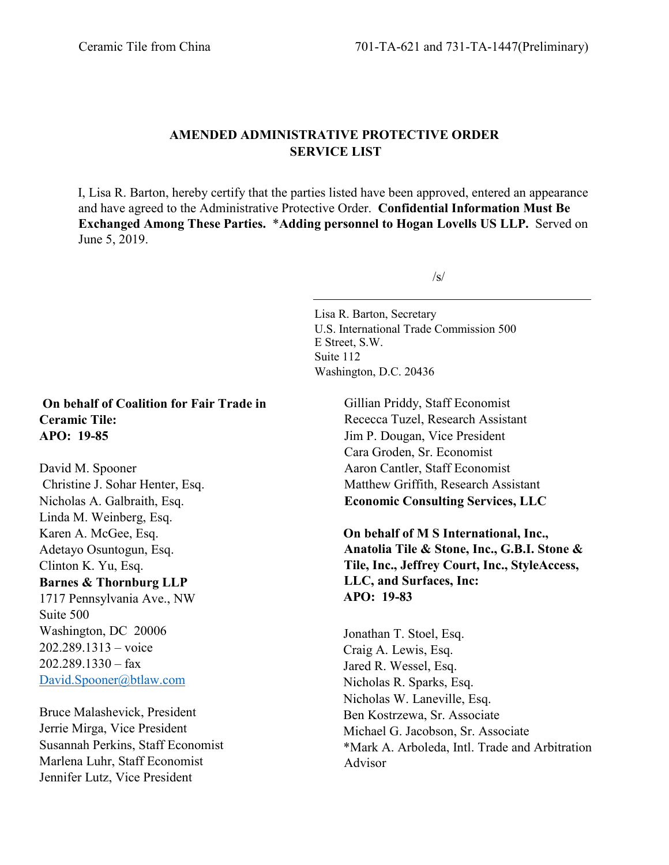# **AMENDED ADMINISTRATIVE PROTECTIVE ORDER SERVICE LIST**

I, Lisa R. Barton, hereby certify that the parties listed have been approved, entered an appearance and have agreed to the Administrative Protective Order. **Confidential Information Must Be Exchanged Among These Parties.** \***Adding personnel to Hogan Lovells US LLP.** Served on June 5, 2019.

 $/s/$ 

Lisa R. Barton, Secretary U.S. International Trade Commission 500 E Street, S.W. Suite 112 Washington, D.C. 20436

> Gillian Priddy, Staff Economist Rececca Tuzel, Research Assistant Jim P. Dougan, Vice President Cara Groden, Sr. Economist Aaron Cantler, Staff Economist Matthew Griffith, Research Assistant **Economic Consulting Services, LLC**

**On behalf of M S International, Inc., Anatolia Tile & Stone, Inc., G.B.I. Stone & Tile, Inc., Jeffrey Court, Inc., StyleAccess, LLC, and Surfaces, Inc: APO: 19-83** 

Jonathan T. Stoel, Esq. Craig A. Lewis, Esq. Jared R. Wessel, Esq. Nicholas R. Sparks, Esq. Nicholas W. Laneville, Esq. Ben Kostrzewa, Sr. Associate Michael G. Jacobson, Sr. Associate \*Mark A. Arboleda, Intl. Trade and Arbitration Advisor

## **On behalf of Coalition for Fair Trade in Ceramic Tile: APO: 19-85**

David M. Spooner Christine J. Sohar Henter, Esq. Nicholas A. Galbraith, Esq. Linda M. Weinberg, Esq. Karen A. McGee, Esq. Adetayo Osuntogun, Esq. Clinton K. Yu, Esq. **Barnes & Thornburg LLP** 1717 Pennsylvania Ave., NW Suite 500 Washington, DC 20006 202.289.1313 – voice  $202.289.1330 - fax$ [David.Spooner@btlaw.com](mailto:David.Spooner@btlaw.com)

Bruce Malashevick, President Jerrie Mirga, Vice President Susannah Perkins, Staff Economist Marlena Luhr, Staff Economist Jennifer Lutz, Vice President